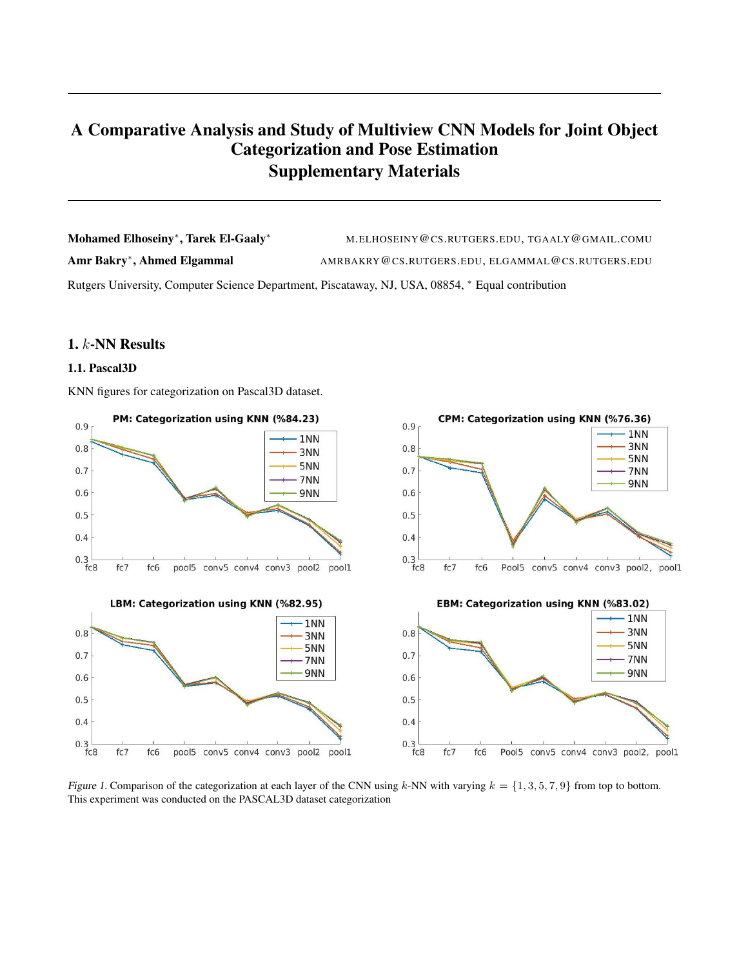# A Comparative Analysis and Study of Multiview CNN Models for Joint Object Categorization and Pose Estimation Supplementary Materials

Mohamed Elhoseiny<sup>\*</sup>, Tarek El-Gaaly<sup>\*</sup> M.ELHOSEINY@CS.RUTGERS.EDU, TGAALY@GMAIL.COMU Amr Bakry<sup>∗</sup> , Ahmed Elgammal AMRBAKRY@CS.RUTGERS.EDU, ELGAMMAL@CS.RUTGERS.EDU

Rutgers University, Computer Science Department, Piscataway, NJ, USA, 08854, <sup>∗</sup> Equal contribution

# 1. k-NN Results

## 1.1. Pascal3D

KNN figures for categorization on Pascal3D dataset.



Figure 1. Comparison of the categorization at each layer of the CNN using k-NN with varying  $k = \{1, 3, 5, 7, 9\}$  from top to bottom. This experiment was conducted on the PASCAL3D dataset categorization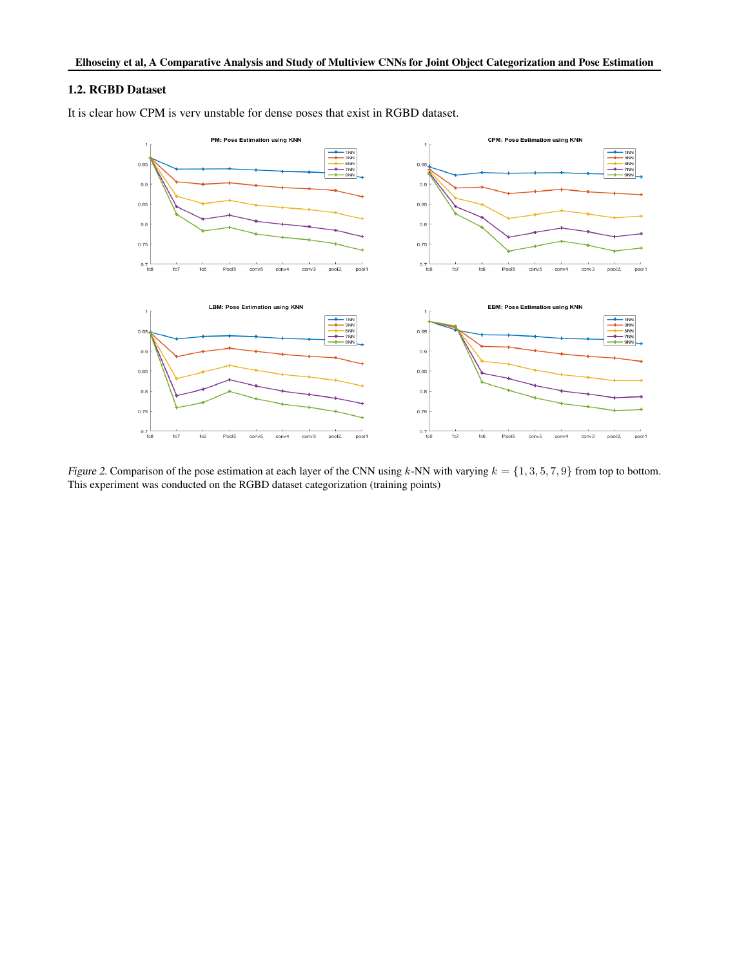#### 1.2. RGBD Dataset

It is clear how CPM is very unstable for dense poses that exist in RGBD dataset.



Figure 2. Comparison of the pose estimation at each layer of the CNN using  $k$ -NN with varying  $k = \{1, 3, 5, 7, 9\}$  from top to bottom. This experiment was conducted on the RGBD dataset categorization (training points)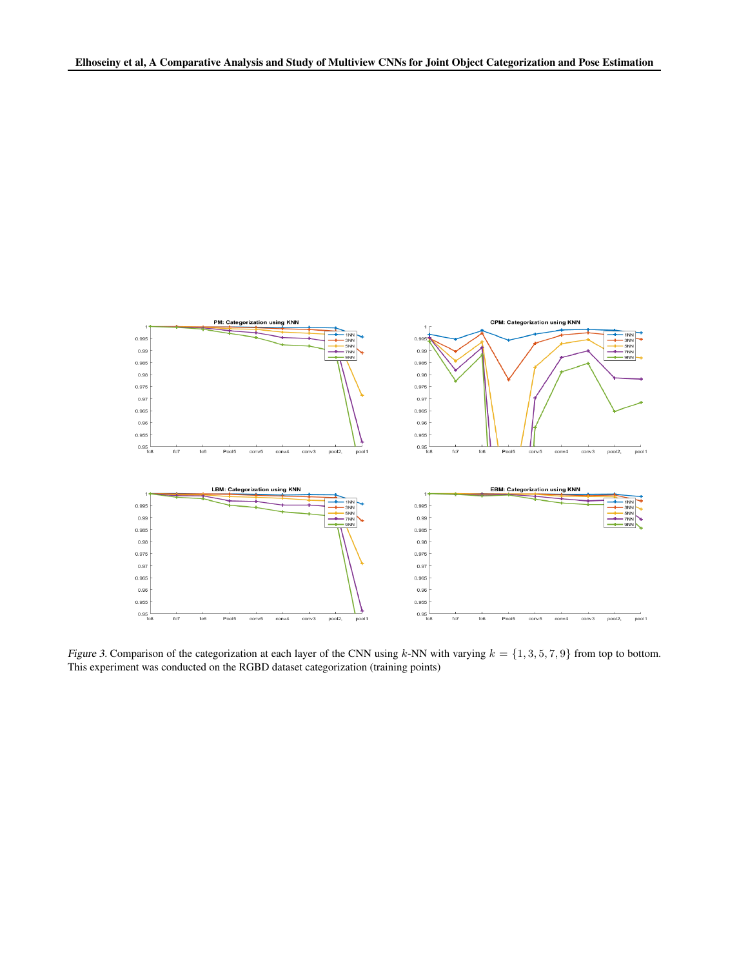

Figure 3. Comparison of the categorization at each layer of the CNN using k-NN with varying  $k = \{1, 3, 5, 7, 9\}$  from top to bottom. This experiment was conducted on the RGBD dataset categorization (training points)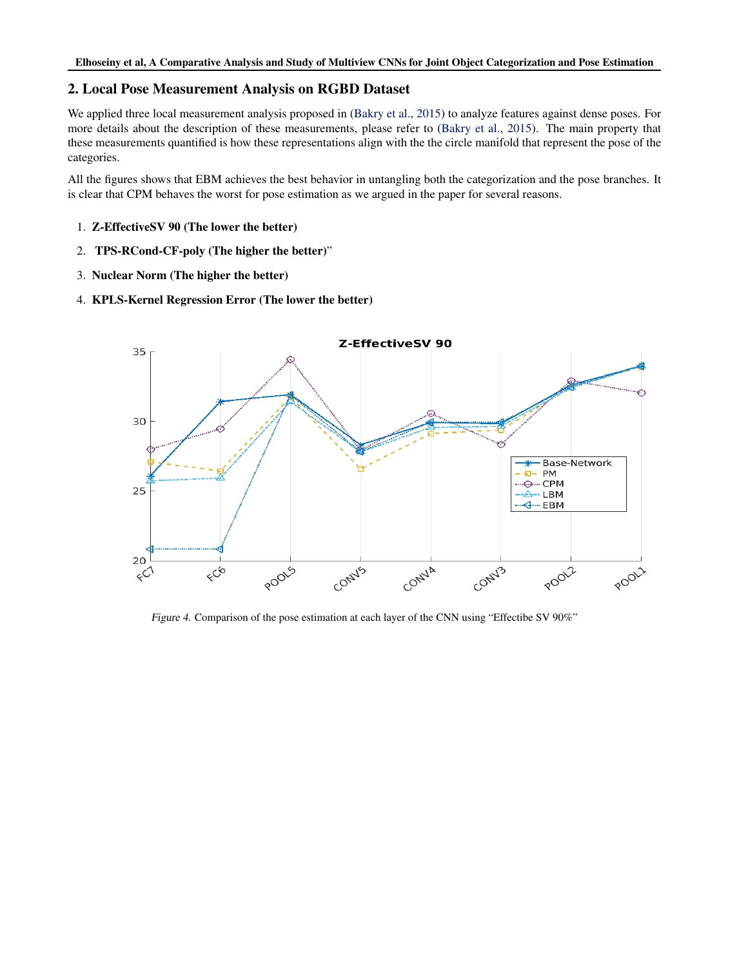# 2. Local Pose Measurement Analysis on RGBD Dataset

We applied three local measurement analysis proposed in [\(Bakry et al.,](#page-10-0) [2015\)](#page-10-0) to analyze features against dense poses. For more details about the description of these measurements, please refer to [\(Bakry et al.,](#page-10-0) [2015\)](#page-10-0). The main property that these measurements quantified is how these representations align with the the circle manifold that represent the pose of the categories.

All the figures shows that EBM achieves the best behavior in untangling both the categorization and the pose branches. It is clear that CPM behaves the worst for pose estimation as we argued in the paper for several reasons.

- 1. Z-EffectiveSV 90 (The lower the better)
- 2. TPS-RCond-CF-poly (The higher the better)"
- 3. Nuclear Norm (The higher the better)
- 4. KPLS-Kernel Regression Error (The lower the better)



Figure 4. Comparison of the pose estimation at each layer of the CNN using "Effectibe SV 90%"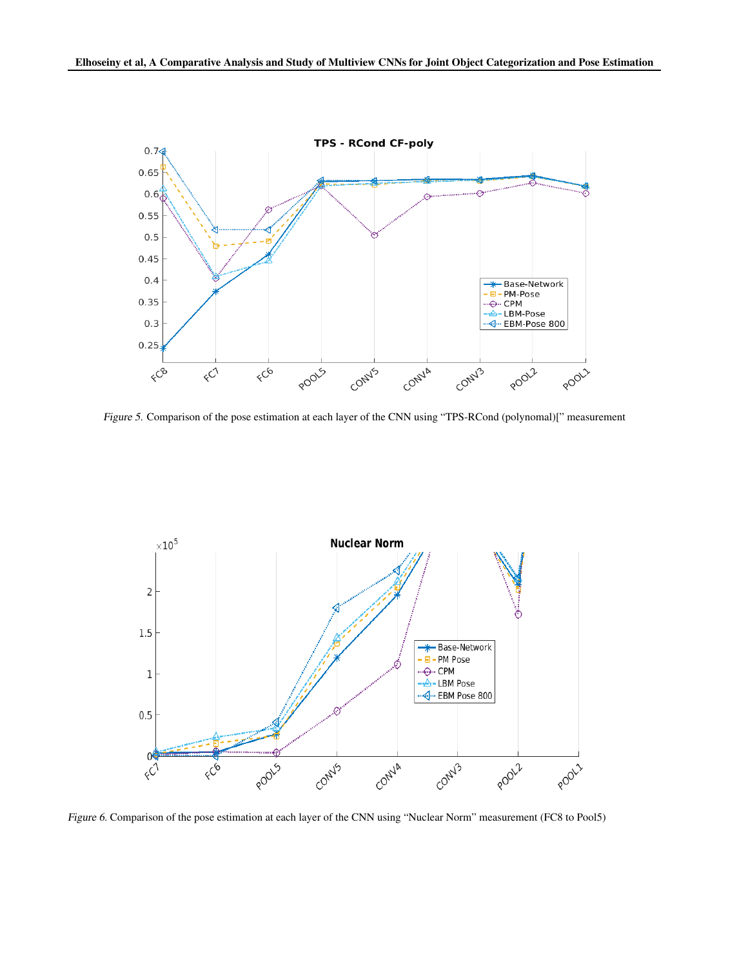

Figure 5. Comparison of the pose estimation at each layer of the CNN using "TPS-RCond (polynomal)[" measurement



Figure 6. Comparison of the pose estimation at each layer of the CNN using "Nuclear Norm" measurement (FC8 to Pool5)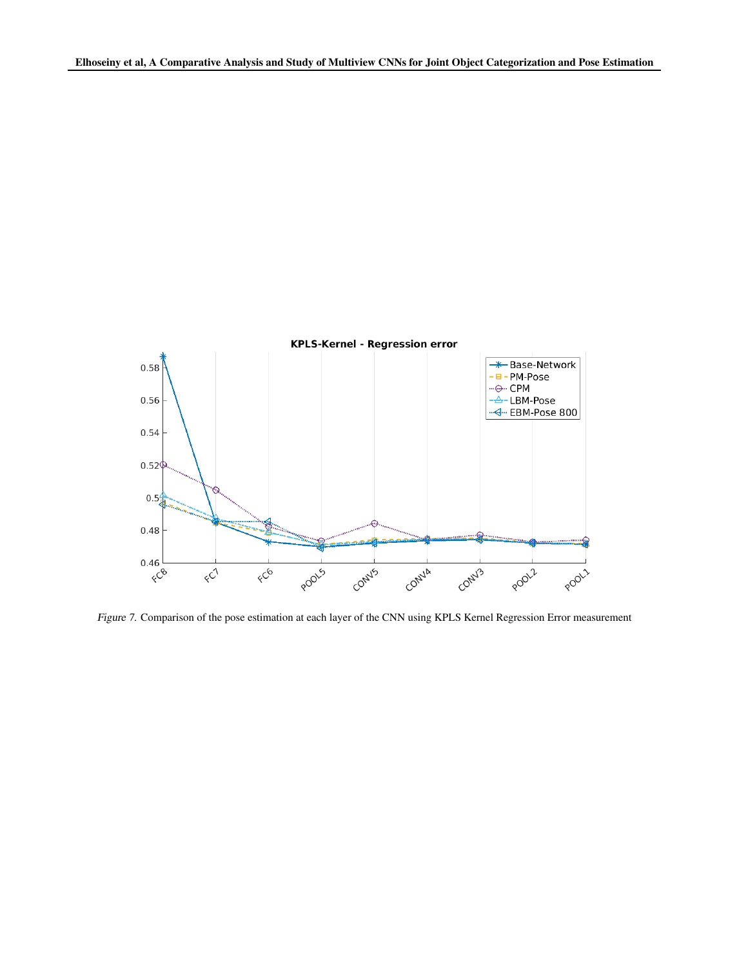

Figure 7. Comparison of the pose estimation at each layer of the CNN using KPLS Kernel Regression Error measurement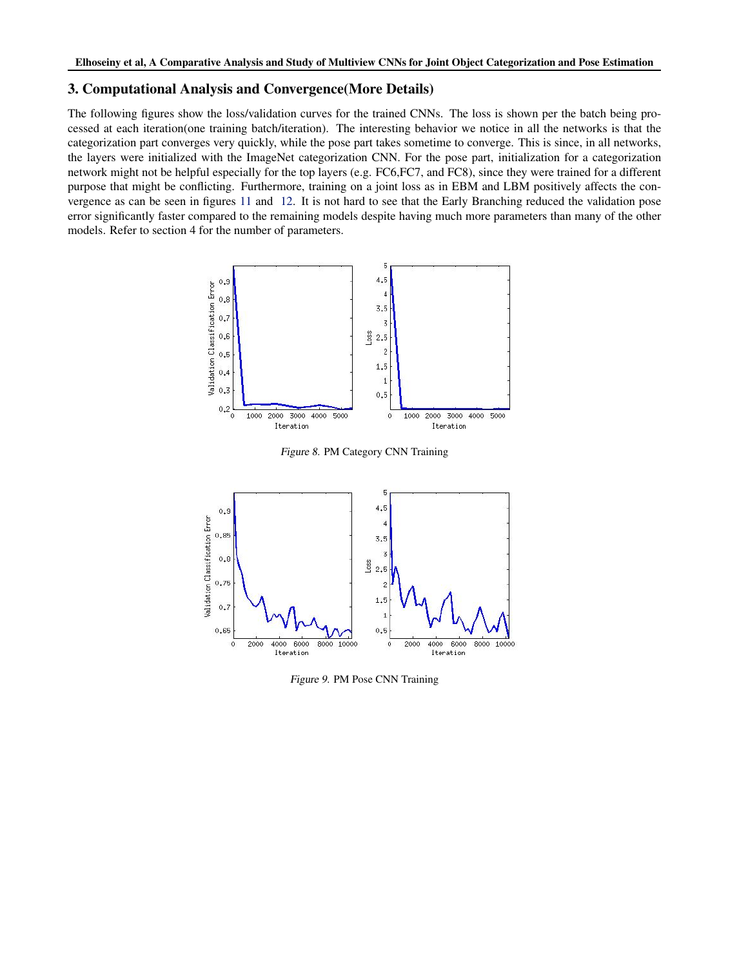# 3. Computational Analysis and Convergence(More Details)

The following figures show the loss/validation curves for the trained CNNs. The loss is shown per the batch being processed at each iteration(one training batch/iteration). The interesting behavior we notice in all the networks is that the categorization part converges very quickly, while the pose part takes sometime to converge. This is since, in all networks, the layers were initialized with the ImageNet categorization CNN. For the pose part, initialization for a categorization network might not be helpful especially for the top layers (e.g. FC6,FC7, and FC8), since they were trained for a different purpose that might be conflicting. Furthermore, training on a joint loss as in EBM and LBM positively affects the convergence as can be seen in figures [11](#page-7-0) and [12.](#page-8-0) It is not hard to see that the Early Branching reduced the validation pose error significantly faster compared to the remaining models despite having much more parameters than many of the other models. Refer to section 4 for the number of parameters.



Figure 8. PM Category CNN Training



Figure 9. PM Pose CNN Training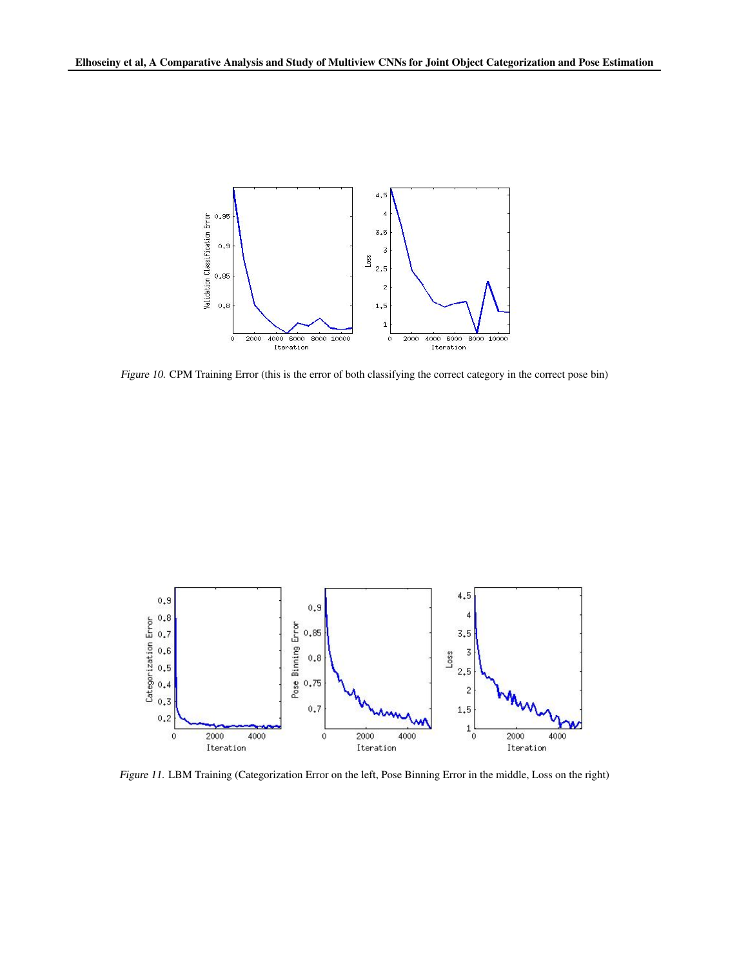<span id="page-7-0"></span>

Figure 10. CPM Training Error (this is the error of both classifying the correct category in the correct pose bin)



Figure 11. LBM Training (Categorization Error on the left, Pose Binning Error in the middle, Loss on the right)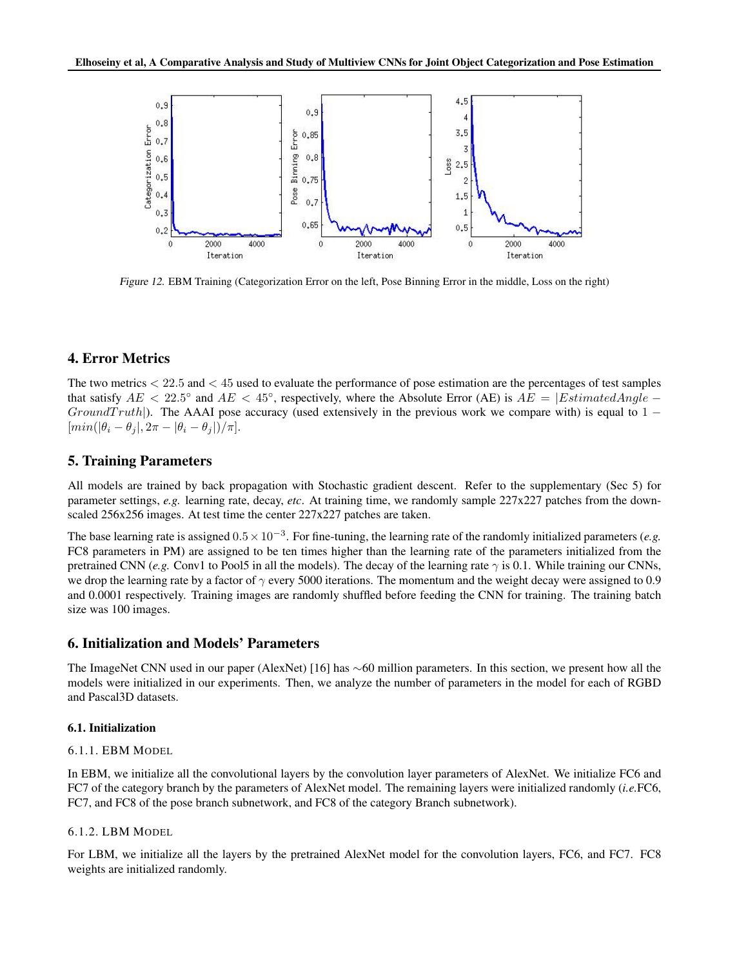<span id="page-8-0"></span>

Figure 12. EBM Training (Categorization Error on the left, Pose Binning Error in the middle, Loss on the right)

# 4. Error Metrics

The two metrics  $\langle 22.5 \text{ and } 45 \text{ used to evaluate the performance of pose estimation are the percentages of test samples$ that satisfy  $AE < 22.5^{\circ}$  and  $AE < 45^{\circ}$ , respectively, where the Absolute Error (AE) is  $AE = |EstimatedAngle Ground Truth$ ). The AAAI pose accuracy (used extensively in the previous work we compare with) is equal to 1 –  $\left[\min(|\theta_i-\theta_j|,2\pi-|\theta_i-\theta_j|)/\pi\right].$ 

## 5. Training Parameters

All models are trained by back propagation with Stochastic gradient descent. Refer to the supplementary (Sec 5) for parameter settings, *e.g.* learning rate, decay, *etc*. At training time, we randomly sample 227x227 patches from the downscaled 256x256 images. At test time the center 227x227 patches are taken.

The base learning rate is assigned  $0.5 \times 10^{-3}$ . For fine-tuning, the learning rate of the randomly initialized parameters (*e.g.* FC8 parameters in PM) are assigned to be ten times higher than the learning rate of the parameters initialized from the pretrained CNN (*e.g.* Conv1 to Pool5 in all the models). The decay of the learning rate  $\gamma$  is 0.1. While training our CNNs, we drop the learning rate by a factor of  $\gamma$  every 5000 iterations. The momentum and the weight decay were assigned to 0.9 and 0.0001 respectively. Training images are randomly shuffled before feeding the CNN for training. The training batch size was 100 images.

# 6. Initialization and Models' Parameters

The ImageNet CNN used in our paper (AlexNet) [16] has ∼60 million parameters. In this section, we present how all the models were initialized in our experiments. Then, we analyze the number of parameters in the model for each of RGBD and Pascal3D datasets.

#### 6.1. Initialization

#### 6.1.1. EBM MODEL

In EBM, we initialize all the convolutional layers by the convolution layer parameters of AlexNet. We initialize FC6 and FC7 of the category branch by the parameters of AlexNet model. The remaining layers were initialized randomly (*i.e.*FC6, FC7, and FC8 of the pose branch subnetwork, and FC8 of the category Branch subnetwork).

#### 6.1.2. LBM MODEL

For LBM, we initialize all the layers by the pretrained AlexNet model for the convolution layers, FC6, and FC7. FC8 weights are initialized randomly.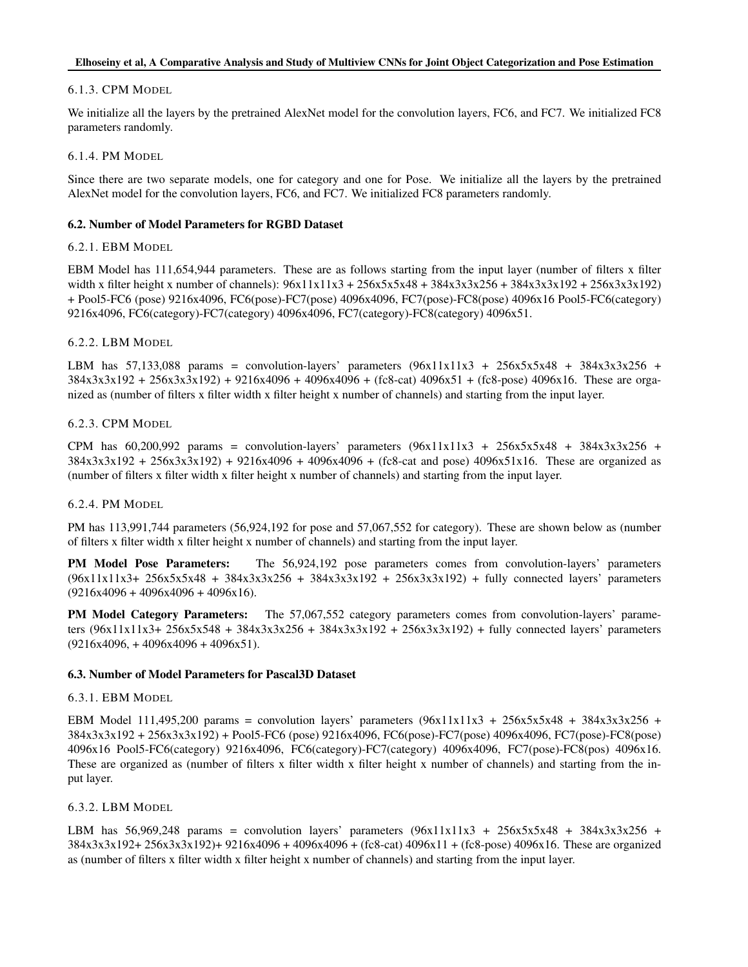## Elhoseiny et al, A Comparative Analysis and Study of Multiview CNNs for Joint Object Categorization and Pose Estimation

## 6.1.3. CPM MODEL

We initialize all the layers by the pretrained AlexNet model for the convolution layers, FC6, and FC7. We initialized FC8 parameters randomly.

6.1.4. PM MODEL

Since there are two separate models, one for category and one for Pose. We initialize all the layers by the pretrained AlexNet model for the convolution layers, FC6, and FC7. We initialized FC8 parameters randomly.

## 6.2. Number of Model Parameters for RGBD Dataset

## 6.2.1. EBM MODEL

EBM Model has 111,654,944 parameters. These are as follows starting from the input layer (number of filters x filter width x filter height x number of channels):  $96x11x11x3 + 256x5x5x48 + 384x3x3x256 + 384x3x3x192 + 256x3x3x192$ + Pool5-FC6 (pose) 9216x4096, FC6(pose)-FC7(pose) 4096x4096, FC7(pose)-FC8(pose) 4096x16 Pool5-FC6(category) 9216x4096, FC6(category)-FC7(category) 4096x4096, FC7(category)-FC8(category) 4096x51.

## 6.2.2. LBM MODEL

LBM has 57,133,088 params = convolution-layers' parameters  $(96x11x11x3 + 256x5x5x48 + 384x3x3x256 +$ 384x3x3x192 + 256x3x3x192) + 9216x4096 + 4096x4096 + (fc8-cat) 4096x51 + (fc8-pose) 4096x16. These are organized as (number of filters x filter width x filter height x number of channels) and starting from the input layer.

## 6.2.3. CPM MODEL

CPM has  $60,200,992$  params = convolution-layers' parameters  $(96x11x11x3 + 256x5x5x48 + 384x3x3x256 +$ 384x3x3x192 + 256x3x3x192) + 9216x4096 + 4096x4096 + (fc8-cat and pose) 4096x51x16. These are organized as (number of filters x filter width x filter height x number of channels) and starting from the input layer.

#### 6.2.4. PM MODEL

PM has 113,991,744 parameters (56,924,192 for pose and 57,067,552 for category). These are shown below as (number of filters x filter width x filter height x number of channels) and starting from the input layer.

PM Model Pose Parameters: The 56,924,192 pose parameters comes from convolution-layers' parameters (96x11x11x3+ 256x5x5x48 + 384x3x3x256 + 384x3x3x192 + 256x3x3x192) + fully connected layers' parameters  $(9216x4096 + 4096x4096 + 4096x16)$ .

PM Model Category Parameters: The 57,067,552 category parameters comes from convolution-layers' parameters (96x11x11x3+ 256x5x548 + 384x3x3x256 + 384x3x3x192 + 256x3x3x192) + fully connected layers' parameters  $(9216x4096 + 4096x4096 + 4096x51).$ 

#### 6.3. Number of Model Parameters for Pascal3D Dataset

#### 6.3.1. EBM MODEL

EBM Model 111,495,200 params = convolution layers' parameters  $(96x11x11x3 + 256x5x5x48 + 384x3x3x256 +$ 384x3x3x192 + 256x3x3x192) + Pool5-FC6 (pose) 9216x4096, FC6(pose)-FC7(pose) 4096x4096, FC7(pose)-FC8(pose) 4096x16 Pool5-FC6(category) 9216x4096, FC6(category)-FC7(category) 4096x4096, FC7(pose)-FC8(pos) 4096x16. These are organized as (number of filters x filter width x filter height x number of channels) and starting from the input layer.

## 6.3.2. LBM MODEL

LBM has 56,969,248 params = convolution layers' parameters  $(96x11x11x3 + 256x5x5x48 + 384x3x3x256 +$ 384x3x3x192+ 256x3x3x192)+ 9216x4096 + 4096x4096 + (fc8-cat) 4096x11 + (fc8-pose) 4096x16. These are organized as (number of filters x filter width x filter height x number of channels) and starting from the input layer.